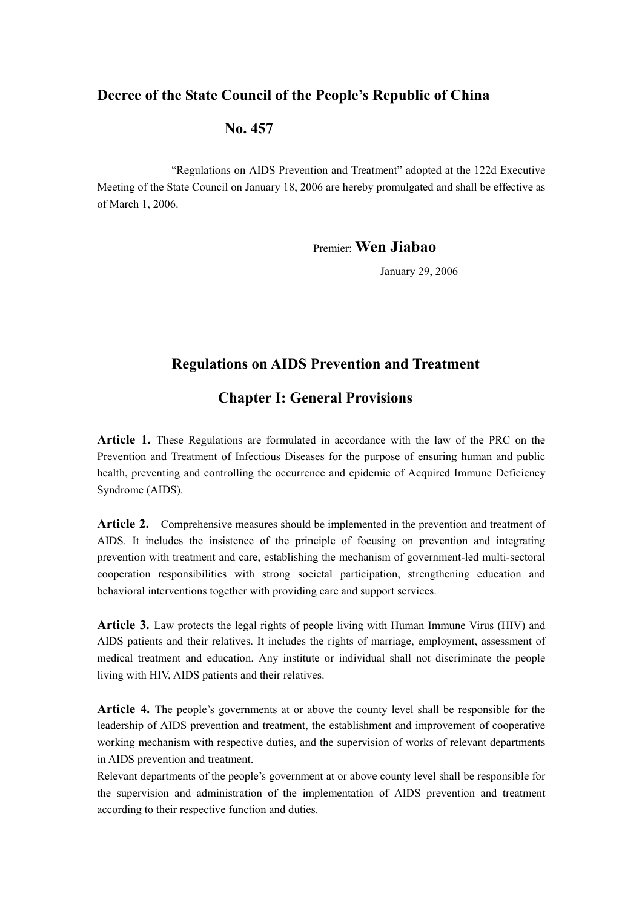## **Decree of the State Council of the People's Republic of China**

### **No. 457**

"Regulations on AIDS Prevention and Treatment" adopted at the 122d Executive Meeting of the State Council on January 18, 2006 are hereby promulgated and shall be effective as of March 1, 2006.

Premier: **Wen Jiabao**

January 29, 2006

### **Regulations on AIDS Prevention and Treatment**

### **Chapter I: General Provisions**

**Article 1.** These Regulations are formulated in accordance with the law of the PRC on the Prevention and Treatment of Infectious Diseases for the purpose of ensuring human and public health, preventing and controlling the occurrence and epidemic of Acquired Immune Deficiency Syndrome (AIDS).

Article 2. Comprehensive measures should be implemented in the prevention and treatment of AIDS. It includes the insistence of the principle of focusing on prevention and integrating prevention with treatment and care, establishing the mechanism of government-led multi-sectoral cooperation responsibilities with strong societal participation, strengthening education and behavioral interventions together with providing care and support services.

**Article 3.** Law protects the legal rights of people living with Human Immune Virus (HIV) and AIDS patients and their relatives. It includes the rights of marriage, employment, assessment of medical treatment and education. Any institute or individual shall not discriminate the people living with HIV, AIDS patients and their relatives.

**Article 4.** The people's governments at or above the county level shall be responsible for the leadership of AIDS prevention and treatment, the establishment and improvement of cooperative working mechanism with respective duties, and the supervision of works of relevant departments in AIDS prevention and treatment.

Relevant departments of the people's government at or above county level shall be responsible for the supervision and administration of the implementation of AIDS prevention and treatment according to their respective function and duties.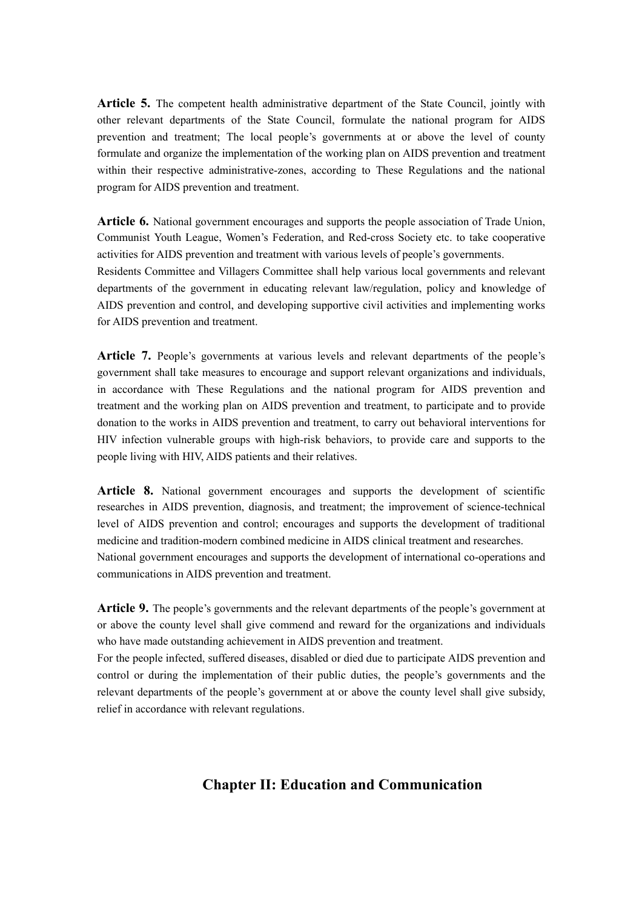**Article 5.** The competent health administrative department of the State Council, jointly with other relevant departments of the State Council, formulate the national program for AIDS prevention and treatment; The local people's governments at or above the level of county formulate and organize the implementation of the working plan on AIDS prevention and treatment within their respective administrative-zones, according to These Regulations and the national program for AIDS prevention and treatment.

**Article 6.** National government encourages and supports the people association of Trade Union, Communist Youth League, Women's Federation, and Red-cross Society etc. to take cooperative activities for AIDS prevention and treatment with various levels of people's governments. Residents Committee and Villagers Committee shall help various local governments and relevant departments of the government in educating relevant law/regulation, policy and knowledge of AIDS prevention and control, and developing supportive civil activities and implementing works for AIDS prevention and treatment.

**Article 7.** People's governments at various levels and relevant departments of the people's government shall take measures to encourage and support relevant organizations and individuals, in accordance with These Regulations and the national program for AIDS prevention and treatment and the working plan on AIDS prevention and treatment, to participate and to provide donation to the works in AIDS prevention and treatment, to carry out behavioral interventions for HIV infection vulnerable groups with high-risk behaviors, to provide care and supports to the people living with HIV, AIDS patients and their relatives.

**Article 8.** National government encourages and supports the development of scientific researches in AIDS prevention, diagnosis, and treatment; the improvement of science-technical level of AIDS prevention and control; encourages and supports the development of traditional medicine and tradition-modern combined medicine in AIDS clinical treatment and researches. National government encourages and supports the development of international co-operations and communications in AIDS prevention and treatment.

**Article 9.** The people's governments and the relevant departments of the people's government at or above the county level shall give commend and reward for the organizations and individuals who have made outstanding achievement in AIDS prevention and treatment.

For the people infected, suffered diseases, disabled or died due to participate AIDS prevention and control or during the implementation of their public duties, the people's governments and the relevant departments of the people's government at or above the county level shall give subsidy, relief in accordance with relevant regulations.

## **Chapter II: Education and Communication**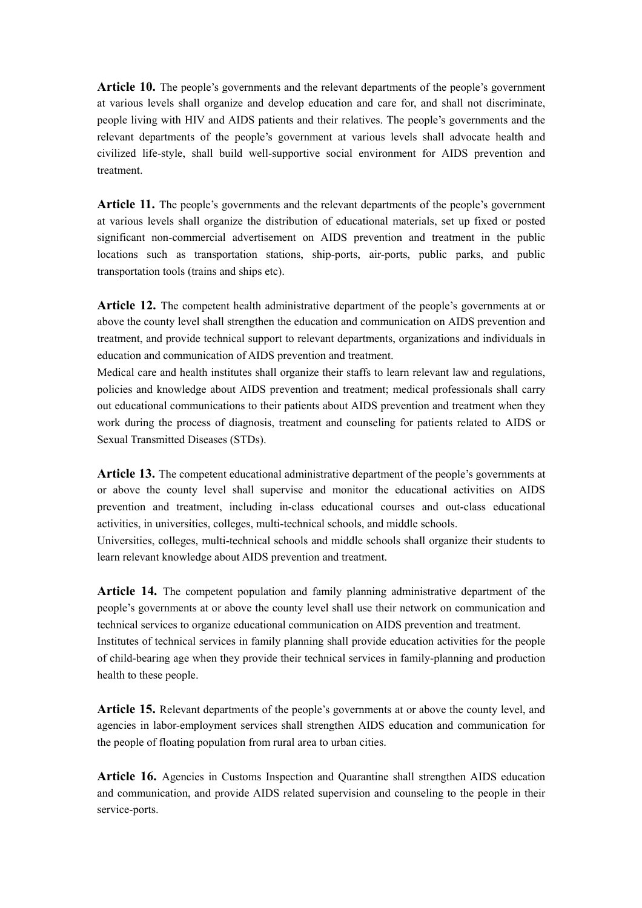**Article 10.** The people's governments and the relevant departments of the people's government at various levels shall organize and develop education and care for, and shall not discriminate, people living with HIV and AIDS patients and their relatives. The people's governments and the relevant departments of the people's government at various levels shall advocate health and civilized life-style, shall build well-supportive social environment for AIDS prevention and treatment.

**Article 11.** The people's governments and the relevant departments of the people's government at various levels shall organize the distribution of educational materials, set up fixed or posted significant non-commercial advertisement on AIDS prevention and treatment in the public locations such as transportation stations, ship-ports, air-ports, public parks, and public transportation tools (trains and ships etc).

**Article 12.** The competent health administrative department of the people's governments at or above the county level shall strengthen the education and communication on AIDS prevention and treatment, and provide technical support to relevant departments, organizations and individuals in education and communication of AIDS prevention and treatment.

Medical care and health institutes shall organize their staffs to learn relevant law and regulations, policies and knowledge about AIDS prevention and treatment; medical professionals shall carry out educational communications to their patients about AIDS prevention and treatment when they work during the process of diagnosis, treatment and counseling for patients related to AIDS or Sexual Transmitted Diseases (STDs).

**Article 13.** The competent educational administrative department of the people's governments at or above the county level shall supervise and monitor the educational activities on AIDS prevention and treatment, including in-class educational courses and out-class educational activities, in universities, colleges, multi-technical schools, and middle schools.

Universities, colleges, multi-technical schools and middle schools shall organize their students to learn relevant knowledge about AIDS prevention and treatment.

**Article 14.** The competent population and family planning administrative department of the people's governments at or above the county level shall use their network on communication and technical services to organize educational communication on AIDS prevention and treatment. Institutes of technical services in family planning shall provide education activities for the people of child-bearing age when they provide their technical services in family-planning and production health to these people.

**Article 15.** Relevant departments of the people's governments at or above the county level, and agencies in labor-employment services shall strengthen AIDS education and communication for the people of floating population from rural area to urban cities.

**Article 16.** Agencies in Customs Inspection and Quarantine shall strengthen AIDS education and communication, and provide AIDS related supervision and counseling to the people in their service-ports.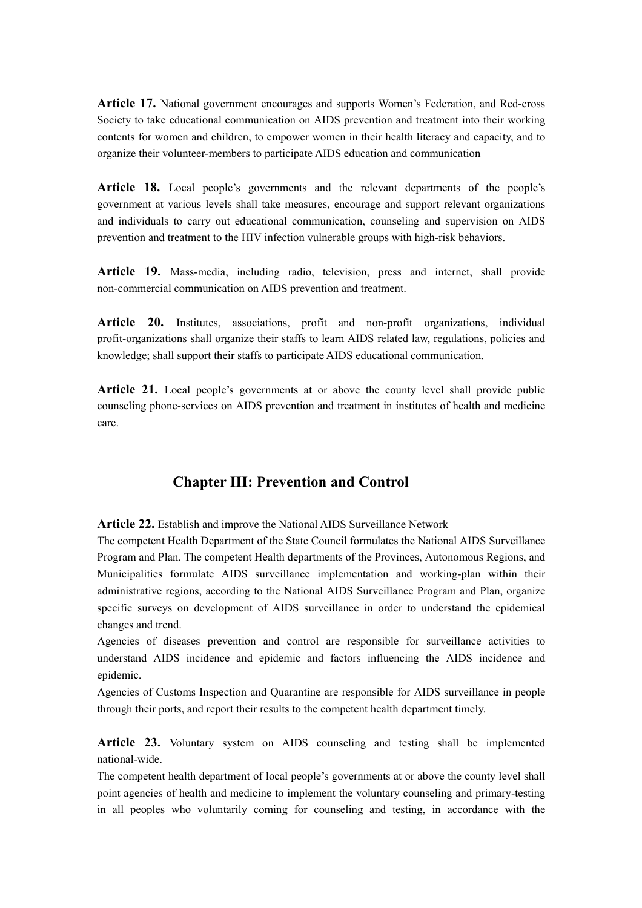**Article 17.** National government encourages and supports Women's Federation, and Red-cross Society to take educational communication on AIDS prevention and treatment into their working contents for women and children, to empower women in their health literacy and capacity, and to organize their volunteer-members to participate AIDS education and communication

**Article 18.** Local people's governments and the relevant departments of the people's government at various levels shall take measures, encourage and support relevant organizations and individuals to carry out educational communication, counseling and supervision on AIDS prevention and treatment to the HIV infection vulnerable groups with high-risk behaviors.

**Article 19.** Mass-media, including radio, television, press and internet, shall provide non-commercial communication on AIDS prevention and treatment.

**Article 20.** Institutes, associations, profit and non-profit organizations, individual profit-organizations shall organize their staffs to learn AIDS related law, regulations, policies and knowledge; shall support their staffs to participate AIDS educational communication.

**Article 21.** Local people's governments at or above the county level shall provide public counseling phone-services on AIDS prevention and treatment in institutes of health and medicine care.

## **Chapter III: Prevention and Control**

**Article 22.** Establish and improve the National AIDS Surveillance Network

The competent Health Department of the State Council formulates the National AIDS Surveillance Program and Plan. The competent Health departments of the Provinces, Autonomous Regions, and Municipalities formulate AIDS surveillance implementation and working-plan within their administrative regions, according to the National AIDS Surveillance Program and Plan, organize specific surveys on development of AIDS surveillance in order to understand the epidemical changes and trend.

Agencies of diseases prevention and control are responsible for surveillance activities to understand AIDS incidence and epidemic and factors influencing the AIDS incidence and epidemic.

Agencies of Customs Inspection and Quarantine are responsible for AIDS surveillance in people through their ports, and report their results to the competent health department timely.

**Article 23.** Voluntary system on AIDS counseling and testing shall be implemented national-wide.

The competent health department of local people's governments at or above the county level shall point agencies of health and medicine to implement the voluntary counseling and primary-testing in all peoples who voluntarily coming for counseling and testing, in accordance with the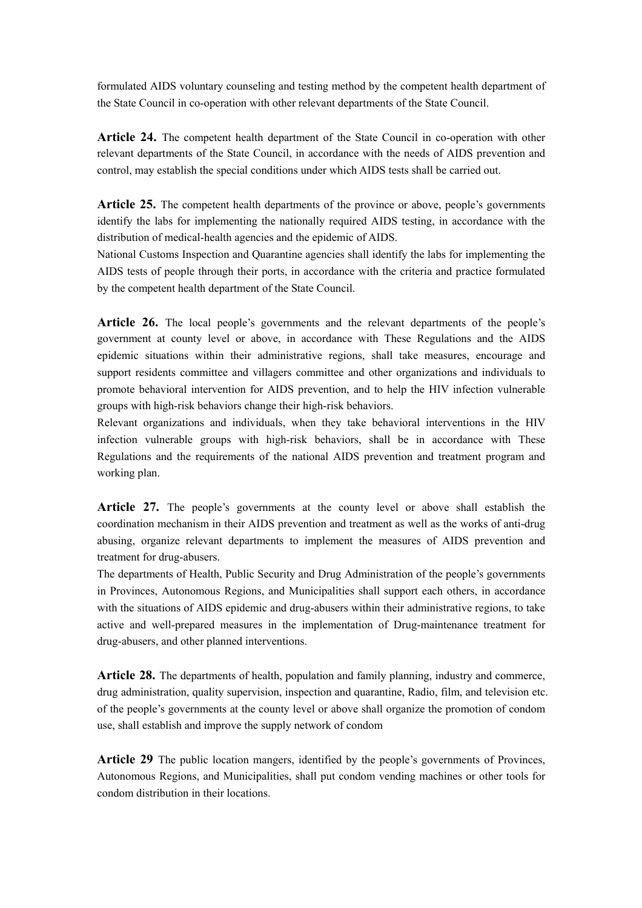formulated AIDS voluntary counseling and testing method by the competent health department of the State Council in co-operation with other relevant departments of the State Council.

**Article 24.** The competent health department of the State Council in co-operation with other relevant departments of the State Council, in accordance with the needs of AIDS prevention and control, may establish the special conditions under which AIDS tests shall be carried out.

**Article 25.** The competent health departments of the province or above, people's governments identify the labs for implementing the nationally required AIDS testing, in accordance with the distribution of medical-health agencies and the epidemic of AIDS.

National Customs Inspection and Quarantine agencies shall identify the labs for implementing the AIDS tests of people through their ports, in accordance with the criteria and practice formulated by the competent health department of the State Council.

**Article 26.** The local people's governments and the relevant departments of the people's government at county level or above, in accordance with These Regulations and the AIDS epidemic situations within their administrative regions, shall take measures, encourage and support residents committee and villagers committee and other organizations and individuals to promote behavioral intervention for AIDS prevention, and to help the HIV infection vulnerable groups with high-risk behaviors change their high-risk behaviors.

Relevant organizations and individuals, when they take behavioral interventions in the HIV infection vulnerable groups with high-risk behaviors, shall be in accordance with These Regulations and the requirements of the national AIDS prevention and treatment program and working plan.

**Article 27.** The people's governments at the county level or above shall establish the coordination mechanism in their AIDS prevention and treatment as well as the works of anti-drug abusing, organize relevant departments to implement the measures of AIDS prevention and treatment for drug-abusers.

The departments of Health, Public Security and Drug Administration of the people's governments in Provinces, Autonomous Regions, and Municipalities shall support each others, in accordance with the situations of AIDS epidemic and drug-abusers within their administrative regions, to take active and well-prepared measures in the implementation of Drug-maintenance treatment for drug-abusers, and other planned interventions.

**Article 28.** The departments of health, population and family planning, industry and commerce, drug administration, quality supervision, inspection and quarantine, Radio, film, and television etc. of the people's governments at the county level or above shall organize the promotion of condom use, shall establish and improve the supply network of condom

**Article 29** The public location mangers, identified by the people's governments of Provinces, Autonomous Regions, and Municipalities, shall put condom vending machines or other tools for condom distribution in their locations.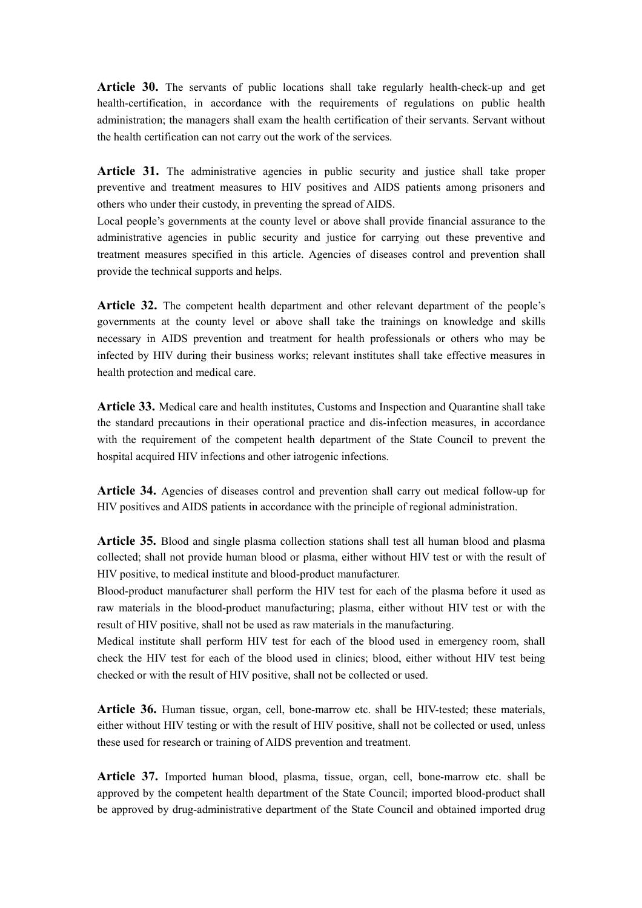**Article 30.** The servants of public locations shall take regularly health-check-up and get health-certification, in accordance with the requirements of regulations on public health administration; the managers shall exam the health certification of their servants. Servant without the health certification can not carry out the work of the services.

Article 31. The administrative agencies in public security and justice shall take proper preventive and treatment measures to HIV positives and AIDS patients among prisoners and others who under their custody, in preventing the spread of AIDS.

Local people's governments at the county level or above shall provide financial assurance to the administrative agencies in public security and justice for carrying out these preventive and treatment measures specified in this article. Agencies of diseases control and prevention shall provide the technical supports and helps.

**Article 32.** The competent health department and other relevant department of the people's governments at the county level or above shall take the trainings on knowledge and skills necessary in AIDS prevention and treatment for health professionals or others who may be infected by HIV during their business works; relevant institutes shall take effective measures in health protection and medical care.

**Article 33.** Medical care and health institutes, Customs and Inspection and Quarantine shall take the standard precautions in their operational practice and dis-infection measures, in accordance with the requirement of the competent health department of the State Council to prevent the hospital acquired HIV infections and other iatrogenic infections.

**Article 34.** Agencies of diseases control and prevention shall carry out medical follow-up for HIV positives and AIDS patients in accordance with the principle of regional administration.

**Article 35.** Blood and single plasma collection stations shall test all human blood and plasma collected; shall not provide human blood or plasma, either without HIV test or with the result of HIV positive, to medical institute and blood-product manufacturer.

Blood-product manufacturer shall perform the HIV test for each of the plasma before it used as raw materials in the blood-product manufacturing; plasma, either without HIV test or with the result of HIV positive, shall not be used as raw materials in the manufacturing.

Medical institute shall perform HIV test for each of the blood used in emergency room, shall check the HIV test for each of the blood used in clinics; blood, either without HIV test being checked or with the result of HIV positive, shall not be collected or used.

**Article 36.** Human tissue, organ, cell, bone-marrow etc. shall be HIV-tested; these materials, either without HIV testing or with the result of HIV positive, shall not be collected or used, unless these used for research or training of AIDS prevention and treatment.

**Article 37.** Imported human blood, plasma, tissue, organ, cell, bone-marrow etc. shall be approved by the competent health department of the State Council; imported blood-product shall be approved by drug-administrative department of the State Council and obtained imported drug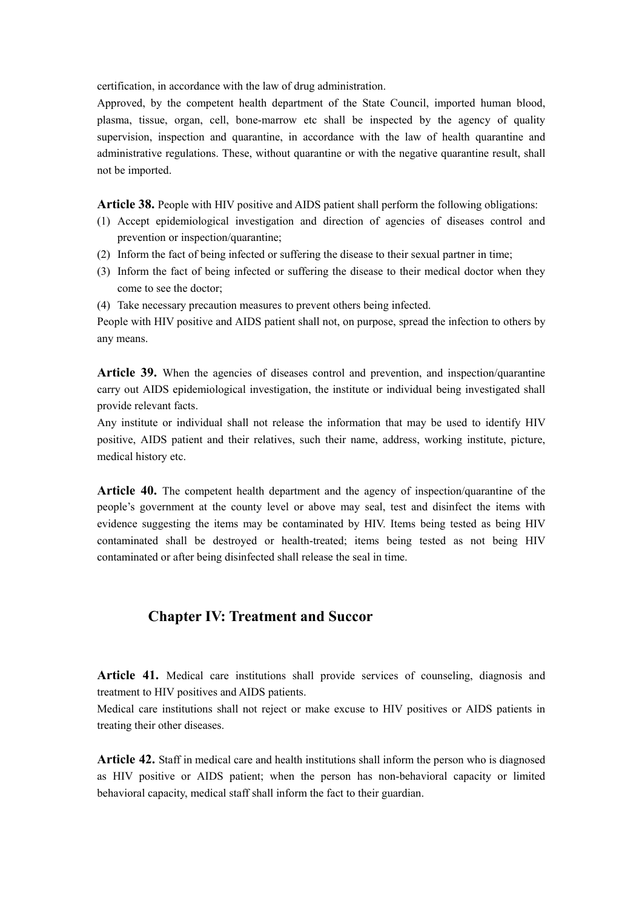certification, in accordance with the law of drug administration.

Approved, by the competent health department of the State Council, imported human blood, plasma, tissue, organ, cell, bone-marrow etc shall be inspected by the agency of quality supervision, inspection and quarantine, in accordance with the law of health quarantine and administrative regulations. These, without quarantine or with the negative quarantine result, shall not be imported.

**Article 38.** People with HIV positive and AIDS patient shall perform the following obligations:

- (1) Accept epidemiological investigation and direction of agencies of diseases control and prevention or inspection/quarantine;
- (2) Inform the fact of being infected or suffering the disease to their sexual partner in time;
- (3) Inform the fact of being infected or suffering the disease to their medical doctor when they come to see the doctor;
- (4) Take necessary precaution measures to prevent others being infected.

People with HIV positive and AIDS patient shall not, on purpose, spread the infection to others by any means.

**Article 39.** When the agencies of diseases control and prevention, and inspection/quarantine carry out AIDS epidemiological investigation, the institute or individual being investigated shall provide relevant facts.

Any institute or individual shall not release the information that may be used to identify HIV positive, AIDS patient and their relatives, such their name, address, working institute, picture, medical history etc.

**Article 40.** The competent health department and the agency of inspection/quarantine of the people's government at the county level or above may seal, test and disinfect the items with evidence suggesting the items may be contaminated by HIV. Items being tested as being HIV contaminated shall be destroyed or health-treated; items being tested as not being HIV contaminated or after being disinfected shall release the seal in time.

#### **Chapter IV: Treatment and Succor**

**Article 41.** Medical care institutions shall provide services of counseling, diagnosis and treatment to HIV positives and AIDS patients.

Medical care institutions shall not reject or make excuse to HIV positives or AIDS patients in treating their other diseases.

**Article 42.** Staff in medical care and health institutions shall inform the person who is diagnosed as HIV positive or AIDS patient; when the person has non-behavioral capacity or limited behavioral capacity, medical staff shall inform the fact to their guardian.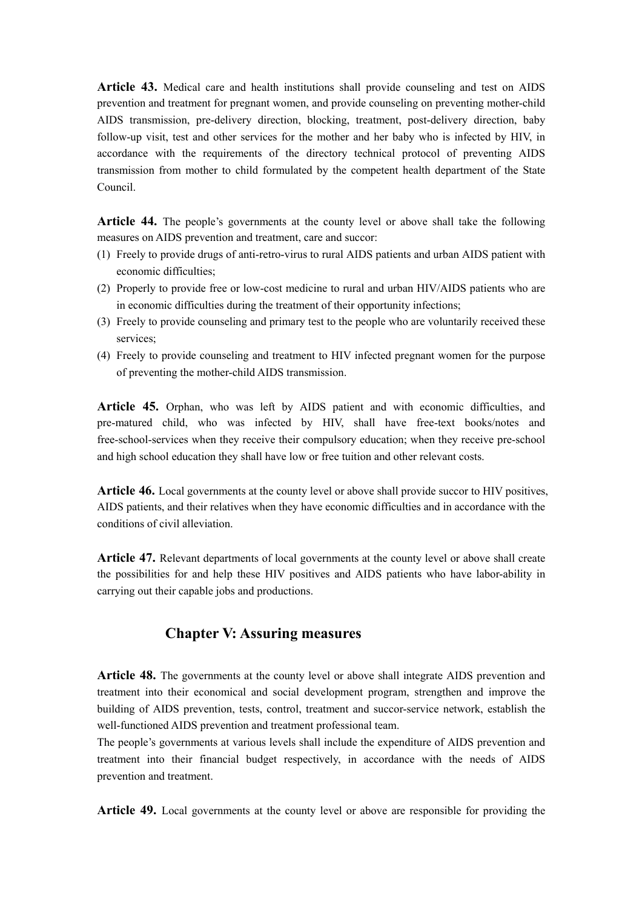**Article 43.** Medical care and health institutions shall provide counseling and test on AIDS prevention and treatment for pregnant women, and provide counseling on preventing mother-child AIDS transmission, pre-delivery direction, blocking, treatment, post-delivery direction, baby follow-up visit, test and other services for the mother and her baby who is infected by HIV, in accordance with the requirements of the directory technical protocol of preventing AIDS transmission from mother to child formulated by the competent health department of the State Council.

**Article 44.** The people's governments at the county level or above shall take the following measures on AIDS prevention and treatment, care and succor:

- (1) Freely to provide drugs of anti-retro-virus to rural AIDS patients and urban AIDS patient with economic difficulties;
- (2) Properly to provide free or low-cost medicine to rural and urban HIV/AIDS patients who are in economic difficulties during the treatment of their opportunity infections;
- (3) Freely to provide counseling and primary test to the people who are voluntarily received these services<sup>.</sup>
- (4) Freely to provide counseling and treatment to HIV infected pregnant women for the purpose of preventing the mother-child AIDS transmission.

**Article 45.** Orphan, who was left by AIDS patient and with economic difficulties, and pre-matured child, who was infected by HIV, shall have free-text books/notes and free-school-services when they receive their compulsory education; when they receive pre-school and high school education they shall have low or free tuition and other relevant costs.

**Article 46.** Local governments at the county level or above shall provide succor to HIV positives, AIDS patients, and their relatives when they have economic difficulties and in accordance with the conditions of civil alleviation.

**Article 47.** Relevant departments of local governments at the county level or above shall create the possibilities for and help these HIV positives and AIDS patients who have labor-ability in carrying out their capable jobs and productions.

#### **Chapter V: Assuring measures**

**Article 48.** The governments at the county level or above shall integrate AIDS prevention and treatment into their economical and social development program, strengthen and improve the building of AIDS prevention, tests, control, treatment and succor-service network, establish the well-functioned AIDS prevention and treatment professional team.

The people's governments at various levels shall include the expenditure of AIDS prevention and treatment into their financial budget respectively, in accordance with the needs of AIDS prevention and treatment.

**Article 49.** Local governments at the county level or above are responsible for providing the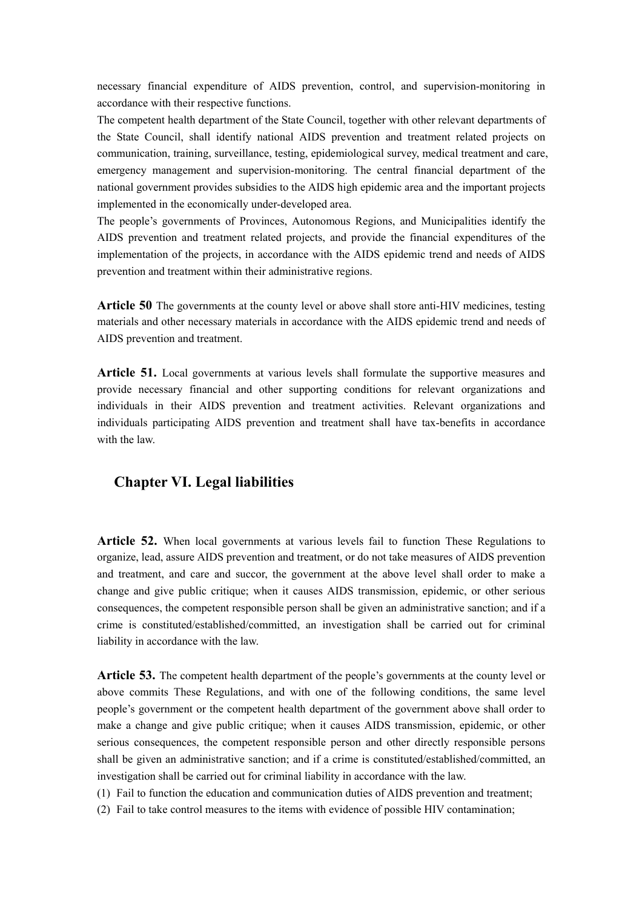necessary financial expenditure of AIDS prevention, control, and supervision-monitoring in accordance with their respective functions.

The competent health department of the State Council, together with other relevant departments of the State Council, shall identify national AIDS prevention and treatment related projects on communication, training, surveillance, testing, epidemiological survey, medical treatment and care, emergency management and supervision-monitoring. The central financial department of the national government provides subsidies to the AIDS high epidemic area and the important projects implemented in the economically under-developed area.

The people's governments of Provinces, Autonomous Regions, and Municipalities identify the AIDS prevention and treatment related projects, and provide the financial expenditures of the implementation of the projects, in accordance with the AIDS epidemic trend and needs of AIDS prevention and treatment within their administrative regions.

**Article 50** The governments at the county level or above shall store anti-HIV medicines, testing materials and other necessary materials in accordance with the AIDS epidemic trend and needs of AIDS prevention and treatment.

**Article 51.** Local governments at various levels shall formulate the supportive measures and provide necessary financial and other supporting conditions for relevant organizations and individuals in their AIDS prevention and treatment activities. Relevant organizations and individuals participating AIDS prevention and treatment shall have tax-benefits in accordance with the law.

#### **Chapter VI. Legal liabilities**

**Article 52.** When local governments at various levels fail to function These Regulations to organize, lead, assure AIDS prevention and treatment, or do not take measures of AIDS prevention and treatment, and care and succor, the government at the above level shall order to make a change and give public critique; when it causes AIDS transmission, epidemic, or other serious consequences, the competent responsible person shall be given an administrative sanction; and if a crime is constituted/established/committed, an investigation shall be carried out for criminal liability in accordance with the law.

**Article 53.** The competent health department of the people's governments at the county level or above commits These Regulations, and with one of the following conditions, the same level people's government or the competent health department of the government above shall order to make a change and give public critique; when it causes AIDS transmission, epidemic, or other serious consequences, the competent responsible person and other directly responsible persons shall be given an administrative sanction; and if a crime is constituted/established/committed, an investigation shall be carried out for criminal liability in accordance with the law.

(1) Fail to function the education and communication duties of AIDS prevention and treatment;

(2) Fail to take control measures to the items with evidence of possible HIV contamination;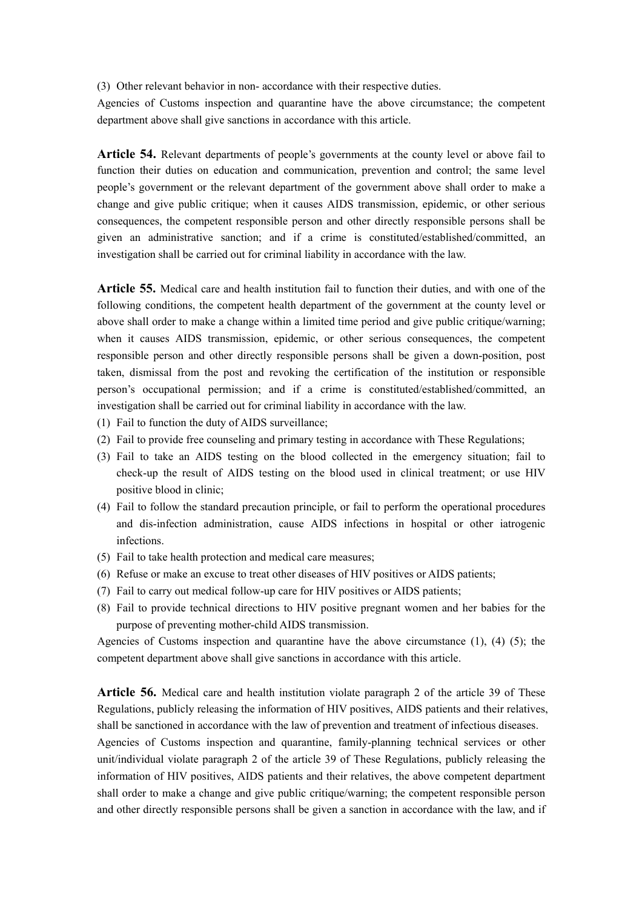(3) Other relevant behavior in non- accordance with their respective duties.

Agencies of Customs inspection and quarantine have the above circumstance; the competent department above shall give sanctions in accordance with this article.

**Article 54.** Relevant departments of people's governments at the county level or above fail to function their duties on education and communication, prevention and control; the same level people's government or the relevant department of the government above shall order to make a change and give public critique; when it causes AIDS transmission, epidemic, or other serious consequences, the competent responsible person and other directly responsible persons shall be given an administrative sanction; and if a crime is constituted/established/committed, an investigation shall be carried out for criminal liability in accordance with the law.

**Article 55.** Medical care and health institution fail to function their duties, and with one of the following conditions, the competent health department of the government at the county level or above shall order to make a change within a limited time period and give public critique/warning; when it causes AIDS transmission, epidemic, or other serious consequences, the competent responsible person and other directly responsible persons shall be given a down-position, post taken, dismissal from the post and revoking the certification of the institution or responsible person's occupational permission; and if a crime is constituted/established/committed, an investigation shall be carried out for criminal liability in accordance with the law.

- (1) Fail to function the duty of AIDS surveillance;
- (2) Fail to provide free counseling and primary testing in accordance with These Regulations;
- (3) Fail to take an AIDS testing on the blood collected in the emergency situation; fail to check-up the result of AIDS testing on the blood used in clinical treatment; or use HIV positive blood in clinic;
- (4) Fail to follow the standard precaution principle, or fail to perform the operational procedures and dis-infection administration, cause AIDS infections in hospital or other iatrogenic infections.
- (5) Fail to take health protection and medical care measures;
- (6) Refuse or make an excuse to treat other diseases of HIV positives or AIDS patients;
- (7) Fail to carry out medical follow-up care for HIV positives or AIDS patients;
- (8) Fail to provide technical directions to HIV positive pregnant women and her babies for the purpose of preventing mother-child AIDS transmission.

Agencies of Customs inspection and quarantine have the above circumstance  $(1)$ ,  $(4)$   $(5)$ ; the competent department above shall give sanctions in accordance with this article.

**Article 56.** Medical care and health institution violate paragraph 2 of the article 39 of These Regulations, publicly releasing the information of HIV positives, AIDS patients and their relatives, shall be sanctioned in accordance with the law of prevention and treatment of infectious diseases.

Agencies of Customs inspection and quarantine, family-planning technical services or other unit/individual violate paragraph 2 of the article 39 of These Regulations, publicly releasing the information of HIV positives, AIDS patients and their relatives, the above competent department shall order to make a change and give public critique/warning; the competent responsible person and other directly responsible persons shall be given a sanction in accordance with the law, and if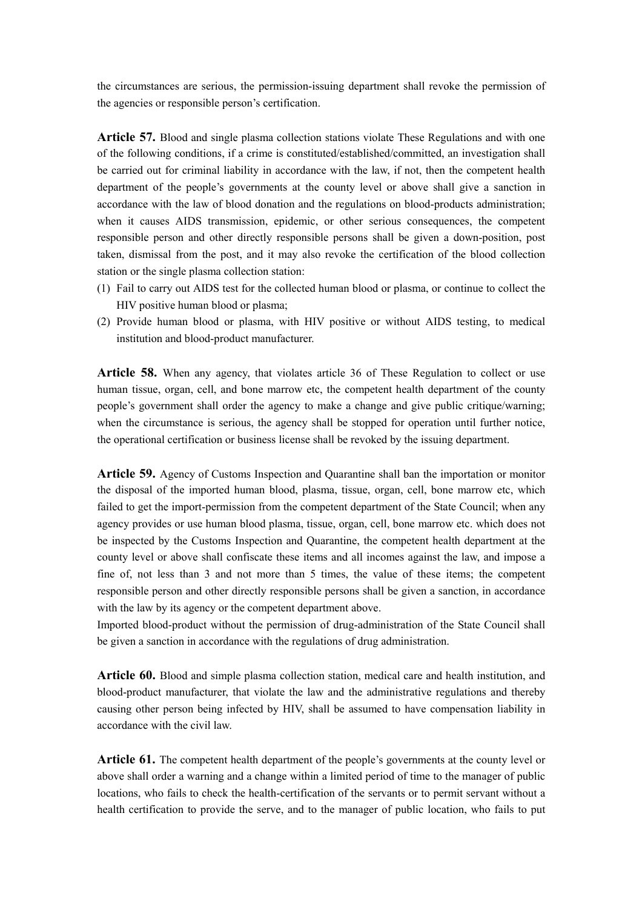the circumstances are serious, the permission-issuing department shall revoke the permission of the agencies or responsible person's certification.

**Article 57.** Blood and single plasma collection stations violate These Regulations and with one of the following conditions, if a crime is constituted/established/committed, an investigation shall be carried out for criminal liability in accordance with the law, if not, then the competent health department of the people's governments at the county level or above shall give a sanction in accordance with the law of blood donation and the regulations on blood-products administration; when it causes AIDS transmission, epidemic, or other serious consequences, the competent responsible person and other directly responsible persons shall be given a down-position, post taken, dismissal from the post, and it may also revoke the certification of the blood collection station or the single plasma collection station:

- (1) Fail to carry out AIDS test for the collected human blood or plasma, or continue to collect the HIV positive human blood or plasma;
- (2) Provide human blood or plasma, with HIV positive or without AIDS testing, to medical institution and blood-product manufacturer.

**Article 58.** When any agency, that violates article 36 of These Regulation to collect or use human tissue, organ, cell, and bone marrow etc, the competent health department of the county people's government shall order the agency to make a change and give public critique/warning; when the circumstance is serious, the agency shall be stopped for operation until further notice, the operational certification or business license shall be revoked by the issuing department.

**Article 59.** Agency of Customs Inspection and Quarantine shall ban the importation or monitor the disposal of the imported human blood, plasma, tissue, organ, cell, bone marrow etc, which failed to get the import-permission from the competent department of the State Council; when any agency provides or use human blood plasma, tissue, organ, cell, bone marrow etc. which does not be inspected by the Customs Inspection and Quarantine, the competent health department at the county level or above shall confiscate these items and all incomes against the law, and impose a fine of, not less than 3 and not more than 5 times, the value of these items; the competent responsible person and other directly responsible persons shall be given a sanction, in accordance with the law by its agency or the competent department above.

Imported blood-product without the permission of drug-administration of the State Council shall be given a sanction in accordance with the regulations of drug administration.

**Article 60.** Blood and simple plasma collection station, medical care and health institution, and blood-product manufacturer, that violate the law and the administrative regulations and thereby causing other person being infected by HIV, shall be assumed to have compensation liability in accordance with the civil law.

**Article 61.** The competent health department of the people's governments at the county level or above shall order a warning and a change within a limited period of time to the manager of public locations, who fails to check the health-certification of the servants or to permit servant without a health certification to provide the serve, and to the manager of public location, who fails to put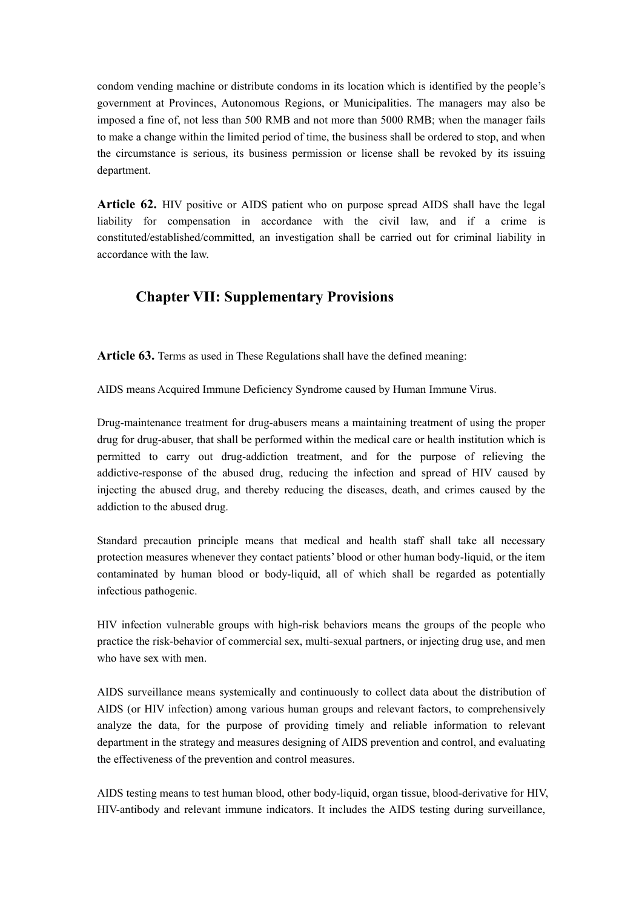condom vending machine or distribute condoms in its location which is identified by the people's government at Provinces, Autonomous Regions, or Municipalities. The managers may also be imposed a fine of, not less than 500 RMB and not more than 5000 RMB; when the manager fails to make a change within the limited period of time, the business shall be ordered to stop, and when the circumstance is serious, its business permission or license shall be revoked by its issuing department.

**Article 62.** HIV positive or AIDS patient who on purpose spread AIDS shall have the legal liability for compensation in accordance with the civil law, and if a crime is constituted/established/committed, an investigation shall be carried out for criminal liability in accordance with the law.

# **Chapter VII: Supplementary Provisions**

**Article 63.** Terms as used in These Regulations shall have the defined meaning:

AIDS means Acquired Immune Deficiency Syndrome caused by Human Immune Virus.

Drug-maintenance treatment for drug-abusers means a maintaining treatment of using the proper drug for drug-abuser, that shall be performed within the medical care or health institution which is permitted to carry out drug-addiction treatment, and for the purpose of relieving the addictive-response of the abused drug, reducing the infection and spread of HIV caused by injecting the abused drug, and thereby reducing the diseases, death, and crimes caused by the addiction to the abused drug.

Standard precaution principle means that medical and health staff shall take all necessary protection measures whenever they contact patients' blood or other human body-liquid, or the item contaminated by human blood or body-liquid, all of which shall be regarded as potentially infectious pathogenic.

HIV infection vulnerable groups with high-risk behaviors means the groups of the people who practice the risk-behavior of commercial sex, multi-sexual partners, or injecting drug use, and men who have sex with men.

AIDS surveillance means systemically and continuously to collect data about the distribution of AIDS (or HIV infection) among various human groups and relevant factors, to comprehensively analyze the data, for the purpose of providing timely and reliable information to relevant department in the strategy and measures designing of AIDS prevention and control, and evaluating the effectiveness of the prevention and control measures.

AIDS testing means to test human blood, other body-liquid, organ tissue, blood-derivative for HIV, HIV-antibody and relevant immune indicators. It includes the AIDS testing during surveillance,